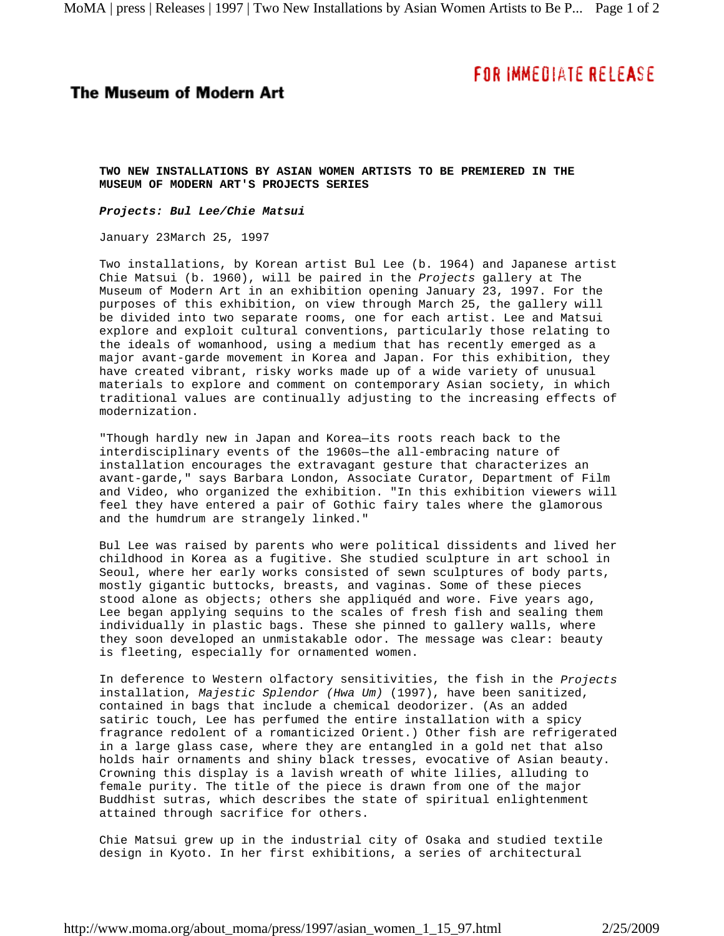## **FOR IMMEDIATE RELEASE**

## **The Museum of Modern Art**

**TWO NEW INSTALLATIONS BY ASIAN WOMEN ARTISTS TO BE PREMIERED IN THE MUSEUM OF MODERN ART'S PROJECTS SERIES**

*Projects: Bul Lee/Chie Matsui* 

January 23March 25, 1997

Two installations, by Korean artist Bul Lee (b. 1964) and Japanese artist Chie Matsui (b. 1960), will be paired in the *Projects* gallery at The Museum of Modern Art in an exhibition opening January 23, 1997. For the purposes of this exhibition, on view through March 25, the gallery will be divided into two separate rooms, one for each artist. Lee and Matsui explore and exploit cultural conventions, particularly those relating to the ideals of womanhood, using a medium that has recently emerged as a major avant-garde movement in Korea and Japan. For this exhibition, they have created vibrant, risky works made up of a wide variety of unusual materials to explore and comment on contemporary Asian society, in which traditional values are continually adjusting to the increasing effects of modernization.

"Though hardly new in Japan and Korea—its roots reach back to the interdisciplinary events of the 1960s—the all-embracing nature of installation encourages the extravagant gesture that characterizes an avant-garde," says Barbara London, Associate Curator, Department of Film and Video, who organized the exhibition. "In this exhibition viewers will feel they have entered a pair of Gothic fairy tales where the glamorous and the humdrum are strangely linked."

Bul Lee was raised by parents who were political dissidents and lived her childhood in Korea as a fugitive. She studied sculpture in art school in Seoul, where her early works consisted of sewn sculptures of body parts, mostly gigantic buttocks, breasts, and vaginas. Some of these pieces stood alone as objects; others she appliquéd and wore. Five years ago, Lee began applying sequins to the scales of fresh fish and sealing them individually in plastic bags. These she pinned to gallery walls, where they soon developed an unmistakable odor. The message was clear: beauty is fleeting, especially for ornamented women.

In deference to Western olfactory sensitivities, the fish in the *Projects* installation, *Majestic Splendor (Hwa Um)* (1997), have been sanitized, contained in bags that include a chemical deodorizer. (As an added satiric touch, Lee has perfumed the entire installation with a spicy fragrance redolent of a romanticized Orient.) Other fish are refrigerated in a large glass case, where they are entangled in a gold net that also holds hair ornaments and shiny black tresses, evocative of Asian beauty. Crowning this display is a lavish wreath of white lilies, alluding to female purity. The title of the piece is drawn from one of the major Buddhist sutras, which describes the state of spiritual enlightenment attained through sacrifice for others.

Chie Matsui grew up in the industrial city of Osaka and studied textile design in Kyoto. In her first exhibitions, a series of architectural